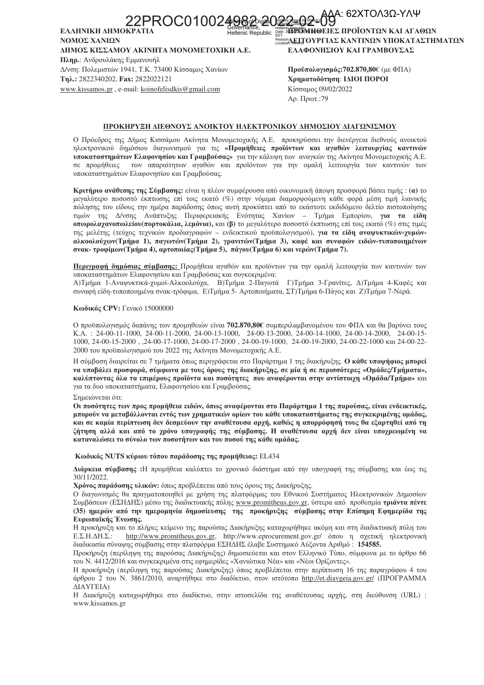<sub>፞፨</sub>⋒ௐ<sub>৺</sub>௹௸ஂ௸௧ௗ௸ௐ௸ 22PROC010024982.2

ΕΛΛΗΝΙΚΗ ΔΗΜΟΚ Hellenic Republic ΝΟΜΟΣ ΧΑΝΙΩΝ ΔΗΜΟΣ ΚΙΣΣΑΜΟΥ ΑΚΙΝΗΤΑ ΜΟΝΟΜΕΤΟΧΙΚΗ Α.Ε. Πληρ.: Ανδρουλάκης Εμμανουήλ Δ/νση: Πολεμιστών 1941, Τ.Κ. 73400 Κίσσαμος Χανίων Τηλ.: 2822340202, Fax: 2822022121 www.kissamos.gr, e-mail: koinofelisdkis@gmail.com

**"GEBOMHOEIEΣ ΠΡΟΪΟΝΤΩΝ ΚΑΙ ΑΓΑΘΩΝ** EET SORA ELTOYPFIAΣ ΚΑΝΤΙΝΩΝ ΥΠΟΚΑΤΑΣΤΗΜΑΤΩΝ ΕΛΑΦΟΝΗΣΙΟΥ ΚΑΙ ΓΡΑΜΒΟΥΣΑΣ

Προϋπολογισμός: 702.870, 80€ (με ΦΠΑ) Χρηματοδότηση: ΙΔΙΟΙ ΠΟΡΟΙ Κίσσαμος 09/02/2022 Αρ. Πρωτ.:79

### ΠΡΟΚΗΡΥΞΗ ΔΙΕΘΝΟΥΣ ΑΝΟΙΚΤΟΥ ΗΛΕΚΤΡΟΝΙΚΟΥ ΔΗΜΟΣΙΟΥ ΔΙΑΓΩΝΙΣΜΟΥ

Ο Πρόεδρος της Δήμος Κισσάμου Ακίνητα Μονομετογικής Α.Ε. προκηρύσσει την διενέργεια διεθνούς ανοικτού ηλεκτρονικού δημόσιου διαγωνισμού για τις «Προμήθειες προϊόντων και αγαθών λειτουργίας καντινών υποκαταστημάτων Ελαφονησίου και Γραμβούσας» για την κάλυψη των αναγκών της Ακίνητα Μονομετοχικής Α.Ε. σε προμήθειες των απαραίτητων αγαθών και προϊόντων για την ομαλή λειτουργία των καντινών των υποκαταστημάτων Ελαφονησίου και Γραμβούσας.

Κριτήριο ανάθεσης της Σύμβασης: είναι η πλέον συμφέρουσα από οικονομική άποψη προσφορά βάσει τιμής: (α) το μεγαλύτερο ποσοστό έκπτωσης επί τοις εκατό (%) στην νόμιμα διαμορφούμενη κάθε φορά μέση τιμή λιανικής πώλησης του είδους την ημέρα παράδοσης όπως αυτή προκύπτει από το εκάστοτε εκδιδόμενο δελτίο πιστοποίησης της Δ/νσης Ανάπτυξης Περιφερειακής Ενότητας Χανίων - Τμήμα Εμπορίου, για τα είδη τιμών οπωρολαγανοπωλείου (πορτοκάλια, λεμόνια), και (β) το μεγαλύτερο ποσοστό έκπτωσης επί τοις εκατό (%) στις τιμές της μελέτης (τεύχος τεχνικών προδιαγραφών - ενδεικτικού προϋπολογισμού), για τα είδη αναψυκτικών-χυμώναλκοολούχων (Τμήμα 1), παγωτών (Τμήμα 2), γρανιτών (Τμήμα 3), καφέ και συναφών ειδών-τυποποιημένων σνακ- τροφίμων (Τμήμα 4), αρτοποιίας (Τμήμα 5), πάγου (Τμήμα 6) και νερών (Τμήμα 7).

Περιγραφή δημόσιας σύμβασης: Προμήθεια αγαθών και προϊόντων για την ομαλή λειτουργία των καντινών των υποκαταστημάτων Ελαφονησίου και Γραμβούσας και συγκεκριμένα:

Α)Τμήμα 1-Αναψυκτικά-γυμοί-Αλκοολούγα, Β)Τμήμα 2-Παγωτά Γ)Τμήμα 3-Γρανίτες, Δ)Τμήμα 4-Καφές και συναφή είδη-τυποποιημένα σνακ-τρόφιμα, Ε)Τμήμα 5- Αρτοποιήματα, ΣΤ)Τμήμα 6-Πάγος και Ζ)Τμήμα 7-Νερά.

### Κωδικός CPV: Γενικό 15000000

Ο προϋπολογισμός δαπάνης των προμηθειών είναι 702.870,80€ συμπεριλαμβανομένου του ΦΠΑ και θα βαρύνει τους K.A.: 24-00-11-1000, 24-00-11-2000, 24-00-13-1000, 24-00-13-2000, 24-00-14-1000, 24-00-14-2000, 24-00-15-1000, 24-00-15-2000, 24-00-17-1000, 24-00-17-2000, 24-00-19-1000, 24-00-19-2000, 24-00-22-1000 και 24-00-22-2000 του προϋπολογισμού του 2022 της Ακίνητα Μονομετοχικής Α.Ε.

Η σύμβαση διαιρείται σε 7 τμήματα όπως περιγράφεται στο Παράρτημα 1 της διακήρυξης. Ο κάθε υποψήφιος μπορεί να υποβάλει προσφορά, σύμφωνα με τους όρους της διακήρυξης, σε μία ή σε περισσότερες «Ομάδες/Τμήματα», καλύπτοντας όλα τα επιμέρους προϊόντα και ποσότητες που αναφέρονται στην αντίστοιχη «Ομάδα/Τμήμα» και για τα δυο υποκαταστήματα, Ελαφονησίου και Γραμβούσας.

### Σημειώνεται ότι:

Οι ποσότητες των προς προμήθεια ειδών, όπως αναφέρονται στο Παράρτημα 1 της παρούσας, είναι ενδεικτικές, μπορούν να μεταβάλλονται εντός των χρηματικών ορίων του κάθε υποκαταστήματος της συγκεκριμένης ομάδος, και σε καμία περίπτωση δεν δεσμεύουν την αναθέτουσα αρχή, καθώς η απορρόφησή τους θα εξαρτηθεί από τη ζήτηση αλλά και από το χρόνο υπογραφής της σύμβασης. Η αναθέτουσα αρχή δεν είναι υποχρεωμένη να καταναλώσει το σύνολο των ποσοτήτων και του ποσού της κάθε ομάδας.

### Κωδικός NUTS κύριου τόπου παράδοσης της προμήθειας: EL434

Διάρκεια σύμβασης :Η προμήθεια καλύπτει το χρονικό διάστημα από την υπογραφή της σύμβασης και έως τις 30/11/2022.

Χρόνος παράδοσης υλικών: όπως προβλέπεται από τους όρους της Διακήρυξης.

Ο διαγωνισμός θα πραγματοποιηθεί με χρήση της πλατφόρμας του Εθνικού Συστήματος Ηλεκτρονικών Δημοσίων Συμβάσεων (ΕΣΗΔΗΣ) μέσω της διαδικτυακής πύλης www.promitheus.gov.gr, ύστερα από προθεσμία τριάντα πέντε (35) ημερών από την ημερομηνία δημοσίευσης της προκήρυξης σύμβασης στην Επίσημη Εφημερίδα της Ευρωπαϊκής Ένωσης.

Η προκήρυξη και το πλήρες κείμενο της παρούσας Διακήρυξης καταχωρήθηκε ακόμη και στη διαδικτυακή πύλη του  $E.\Sigma.H.\Delta H.\Sigma.:$ http://www.promitheus.gov.gr, http://www.eprocurement.gov.gr/ όπου η σχετική ηλεκτρονική διαδικασία σύναψης σύμβασης στην πλατφόρμα ΕΣΗΔΗΣ έλαβε Συστημικό Αύξοντα Αριθμό: 154585.

Προκήρυξη (περίληψη της παρούσας Διακήρυξης) δημοσιεύεται και στον Ελληνικό Τύπο, σύμφωνα με το άρθρο 66 του Ν. 4412/2016 και συγκεκριμένα στις εφημερίδες «Χανιώτικα Νέα» και «Νέοι Ορίζοντες».

Η προκήρυξη (περίληψη της παρούσας Διακήρυξης) όπως προβλέπεται στην περίπτωση 16 της παραγράφου 4 του άρθρου 2 του Ν. 3861/2010, αναρτήθηκε στο διαδίκτυο, στον ιστότοπο http://et.diavgeia.gov.gr/ (ΠΡΟΓΡΑΜΜΑ **ΔΙΑΥΓΕΙΑ**)

Η Διακήρυξη καταχωρήθηκε στο διαδίκτυο, στην ιστοσελίδα της αναθέτουσας αρχής, στη διεύθυνση (URL) : www.kissamos.or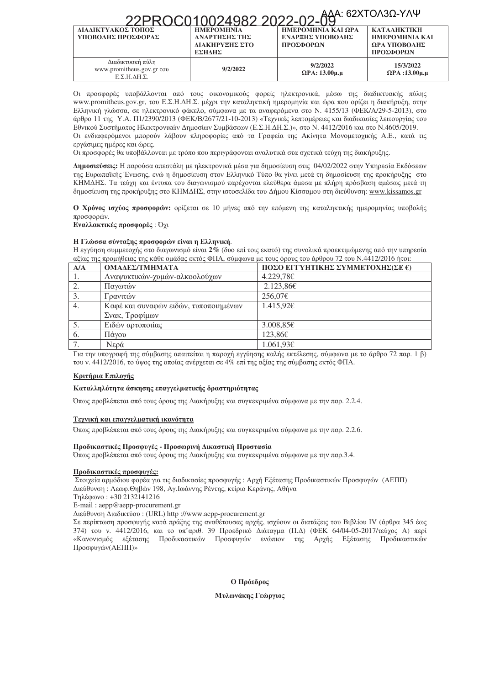## 22PROC010024982 2022-02-04AA: 62ΧΤΟΛ3Ω-ΥΛΨ

|                                                                                | <u>ZZFINUCU I UUZI 90Z ZUZZ-UZ-U9</u>                          |                                                     |                                                                          |
|--------------------------------------------------------------------------------|----------------------------------------------------------------|-----------------------------------------------------|--------------------------------------------------------------------------|
| ΔΙΑΔΙΚΤΥΑΚΟΣ ΤΟΠΟΣ<br>ΥΠΟΒΟΛΗΣ ΠΡΟΣΦΟΡΑΣ                                       | <b>HMEPOMHNIA</b><br>ΑΝΑΡΤΗΣΗΣ ΤΗΣ<br>ΔΙΑΚΗΡΥΞΗΣ ΣΤΟ<br>ΕΣΗΛΗΣ | ΗΜΕΡΟΜΗΝΙΑ ΚΑΙ ΩΡΑ<br>ΕΝΑΡΞΗΣ ΥΠΟΒΟΛΗΣ<br>ΠΡΟΣΦΟΡΩΝ | <b>KATAAHKTIKH</b><br><b>HMEPOMHNIA KAI</b><br>ΩΡΑ ΥΠΟΒΟΛΗΣ<br>ΠΡΟΣΦΟΡΩΝ |
| Διαδικτυακή πύλη<br>www.promitheus.gov.gr tov<br>$E.\Sigma.H.\Delta H.\Sigma.$ | 9/2/2022                                                       | 9/2/2022<br>$\Omega$ PA: 13.00 $\mu$ . $\mu$        | 15/3/2022<br>$\Omega$ PA :13.00 $\mu$ . $\mu$                            |

Οι προσφορές υποβάλλονται από τους οικονομικούς φορείς ηλεκτρονικά, μέσω της διαδικτυακής πύλης www.promitheus.gov.gr, του Ε.Σ.Η.ΔΗ.Σ. μέχρι την καταληκτική ημερομηνία και ώρα που ορίζει η διακήρυξη, στην Ελληνική γλώσσα, σε ηλεκτρονικό φάκελο, σύμφωνα με τα αναφερόμενα στο Ν. 4155/13 (ΦΕΚ/Α/29-5-2013), στο άρθρο 11 της Υ.Α. Π1/2390/2013 (ΦΕΚ/Β/2677/21-10-2013) «Τεχνικές λεπτομέρειες και διαδικασίες λειτουργίας του Εθνικού Συστήματος Ηλεκτρονικών Δημοσίων Συμβάσεων (Ε.Σ.Η.ΔΗ.Σ.)», στο Ν. 4412/2016 και στο Ν.4605/2019. Οι ενδιαφερόμενοι μπορούν λάβουν πληροφορίες από τα Γραφεία της Ακίνητα Μονομετοχικής Α.Ε., κατά τις εργάσιμες ημέρες και ώρες.

Οι προσφορές θα υποβάλλονται με τρόπο που περιγράφονται αναλυτικά στα σχετικά τεύχη της διακήρυξης.

**Δημοσιεύσεις:** Η παρούσα απεστάλη με ηλεκτρονικά μέσα για δημοσίευση στις 04/02/2022 στην Υπηρεσία Εκδόσεων της Ευρωπαϊκής Ένωσης, ενώ η δημοσίευση στον Ελληνικό Τύπο θα γίνει μετά τη δημοσίευση της προκήρυξης στο ΚΗΜΔΗΣ. Τα τεύχη και έντυπα του διαγωνισμού παρέχονται ελεύθερα άμεσα με πλήρη πρόσβαση αμέσως μετά τη δημοσίευση της προκήρυξης στο ΚΗΜΔΗΣ, στην ιστοσελίδα του Δήμου Κίσσαμου στη διεύθυνση: <u>www.kissamos.gr</u>

**Ο Χρόνος ισχύος προσφορών: ορίζεται σε 10 μήνες από την επόμενη της καταληκτικής ημερομηνίας υποβολής** προσφορών.

**Ev**αλλακτικές προσφορές : Όχι

### **H** Γλώσσα σύνταξης προσφορών είναι η Ελληνική.

H εγγύηση συμμετοχής στο διαγωνισμό είναι **2**% (δυο επί τοις εκατό) της συνολικά προεκτιμώμενης από την υπηρεσία αξίας της προμήθειας της κάθε ομάδας εκτός ΦΠΑ, σύμφωνα με τους όρους του άρθρου 72 του Ν.4412/2016 ήτοι:

| A/A | ΟΜΑΔΕΣ/ΤΜΗΜΑΤΑ                        | ΠΟΣΟ ΕΓΓΥΗΤΙΚΗΣ ΣΥΜΜΕΤΟΧΗΣ(ΣΕ €) |
|-----|---------------------------------------|----------------------------------|
|     | Αναψυκτικών-χυμών-αλκοολούχων         | 4.229,78€                        |
| 2.  | Πανωτών                               | 2.123,866                        |
| 3.  | Γρανιτών                              | 256,07€                          |
|     | Καφέ και συναφών ειδών, τυποποιημένων | $1.415,92 \in$                   |
|     | Σνακ, Τροφίμων                        |                                  |
|     | Ειδών αρτοποιίας                      | 3.008.85E                        |
| 6.  | Πάγου                                 | $123,86 \in$                     |
| 7.  | Νερά                                  | 1.061,93€                        |

Για την υπογραφή της σύμβασης απαιτείται η παροχή εγγύησης καλής εκτέλεσης, σύμφωνα με το άρθρο 72 παρ. 1 β) του ν. 4412/2016, το ύψος της οποίας ανέρχεται σε 4% επί της αξίας της σύμβασης εκτός ΦΠΑ.

### *<u>Κριτήρια Επιλογής</u>*

### *Καταλληλότητα άσκησης επαγγελματικής δραστηριότητας*

Όπως προβλέπεται από τους όρους της Διακήρυξης και συγκεκριμένα σύμφωνα με την παρ. 2.2.4.

### **Τεχνική και επαγγελματική ικανότητα**

Όπως προβλέπεται από τους όρους της Διακήρυξης και συγκεκριμένα σύμφωνα με την παρ. 2.2.6.

### **Προδικαστικές Προσφυγές - Προσωρινή Δικαστική Προστασία**

Όπως προβλέπεται από τους όρους της Διακήρυξης και συγκεκριμένα σύμφωνα με την παρ.3.4.

### **Προδικαστικές προσφυγές:**

Στοιχεία αρμόδιου φορέα για τις διαδικασίες προσφυγής : Αρχή Εξέτασης Προδικαστικών Προσφυγών (ΑΕΠΠ) Διεύθυνση : Λεωφ.Θηβών 198, Αγ.Ιωάννης Ρέντης, κτίριο Κεράνης, Αθήνα

Τηλέφωνο : +30 2132141216

-mail : aepp@aepp-procurement.gr

Διεύθυνση Διαδικτύου : (URL) http ://www.aepp-procurement.gr

Σε περίπτωση προσφυγής κατά πράξης της αναθέτουσας αρχής, ισχύουν οι διατάξεις του Βιβλίου IV (άρθρα 345 έως 374) του ν. 4412/2016, και το υπ'αριθ. 39 Προεδρικό Διάταγμα (Π.Δ) (ΦΕΚ 64/04-05-2017/τεύχος Α) περί «Κανονισμός εξέτασης Προδικαστικών Προσφυγών ενώπιον της Αρχής Εξέτασης Προδικαστικών Προσφυγών(ΑΕΠΠ)»

 $\theta$  Πρόεδρος

### *Μυλωνάκης Γεώργιος*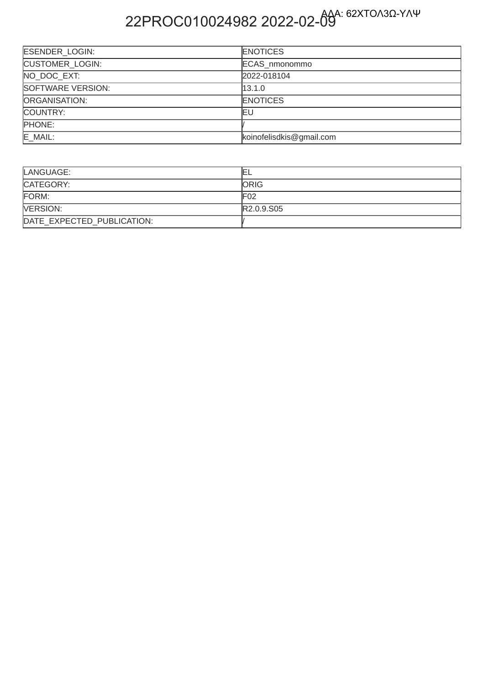# 22PROC010024982 2022-02-09

| <b>ESENDER LOGIN:</b>  | <b>ENOTICES</b>          |
|------------------------|--------------------------|
| <b>CUSTOMER LOGIN:</b> | ECAS nmonommo            |
| NO DOC EXT:            | 2022-018104              |
| SOFTWARE VERSION:      | 13.1.0                   |
| ORGANISATION:          | <b>ENOTICES</b>          |
| COUNTRY:               | ΙEυ                      |
| PHONE:                 |                          |
| E_MAIL:                | koinofelisdkis@gmail.com |

| LANGUAGE:                  | ᄂ            |
|----------------------------|--------------|
| CATEGORY:                  | <b>IORIG</b> |
| FORM:                      | F02          |
| <b>NERSION:</b>            | R2.0.9.S05   |
| DATE EXPECTED PUBLICATION: |              |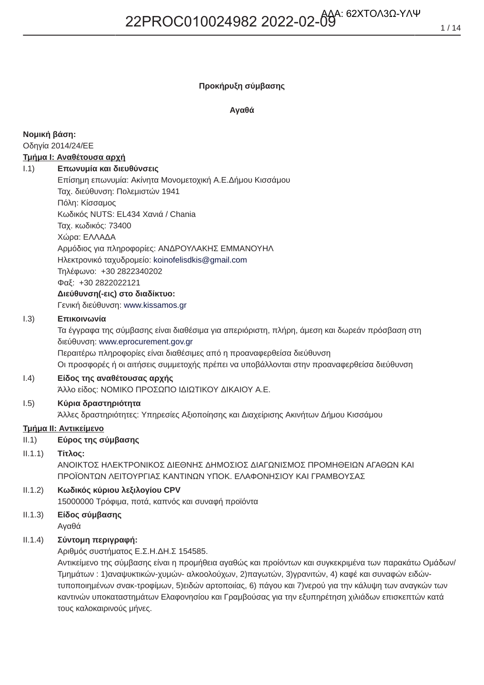### Προκήρυξη σύμβασης

### Αναθά

### Νομική βάση:

Οδηγία 2014/24/ΕΕ

### Τμήμα Ι: Αναθέτουσα αρχή

#### $1.1)$ Επωνυμία και διευθύνσεις

Επίσημη επωνυμία: Ακίνητα Μονομετοχική Α.Ε.Δήμου Κισσάμου Ταχ. διεύθυνση: Πολεμιστών 1941 Πόλη: Κίσσαμος Κωδικός NUTS: EL434 Χανιά / Chania Ταχ. κωδικός: 73400 Χώρα: ΕΛΛΑΔΑ Αρμόδιος για πληροφορίες: ΑΝΔΡΟΥΛΑΚΗΣ ΕΜΜΑΝΟΥΗΛ Ηλεκτρονικό ταχυδρομείο: koinofelisdkis@gmail.com Τηλέφωνο: +30 2822340202 Φαξ: +30 2822022121

### Διεύθυνση(-εις) στο διαδίκτυο:

Γενική διεύθυνση: www.kissamos.gr

#### Επικοινωνία  $1.3)$

Τα έγγραφα της σύμβασης είναι διαθέσιμα για απεριόριστη, πλήρη, άμεση και δωρεάν πρόσβαση στη διεύθυνση: www.eprocurement.gov.gr

Περαιτέρω πληροφορίες είναι διαθέσιμες από η προαναφερθείσα διεύθυνση Οι προσφορές ή οι αιτήσεις συμμετοχής πρέπει να υποβάλλονται στην προαναφερθείσα διεύθυνση

#### $(0.4)$ Είδος της αναθέτουσας αρχής

Άλλο είδος: ΝΟΜΙΚΟ ΠΡΟΣΩΠΟ ΙΔΙΩΤΙΚΟΥ ΔΙΚΑΙΟΥ Α.Ε.

#### $1.5)$ Κύρια δραστηριότητα

Άλλες δραστηριότητες: Υπηρεσίες Αξιοποίησης και Διαχείρισης Ακινήτων Δήμου Κισσάμου

### <u> Τμήμα ΙΙ: Αντικείμενο</u>

Εύρος της σύμβασης  $II.1)$ 

#### $(1.1.1)$ Τίτλος:

ΑΝΟΙΚΤΟΣ ΗΛΕΚΤΡΟΝΙΚΟΣ ΔΙΕΘΝΗΣ ΔΗΜΟΣΙΟΣ ΔΙΑΓΩΝΙΣΜΟΣ ΠΡΟΜΗΘΕΙΩΝ ΑΓΑΘΩΝ ΚΑΙ ΠΡΟΪΟΝΤΩΝ ΛΕΙΤΟΥΡΓΙΑΣ ΚΑΝΤΙΝΩΝ ΥΠΟΚ. ΕΛΑΦΟΝΗΣΙΟΥ ΚΑΙ ΓΡΑΜΒΟΥΣΑΣ

#### $II.1.2)$ Κωδικός κύριου λεξιλογίου CPV

15000000 Τρόφιμα, ποτά, καπνός και συναφή προϊόντα

### $II.1.3)$ Είδος σύμβασης

Αγαθά

#### $II.1.4)$ Σύντομη περιγραφή:

Αριθμός συστήματος Ε.Σ.Η.ΔΗ.Σ 154585.

Αντικείμενο της σύμβασης είναι η προμήθεια αγαθώς και προίόντων και συγκεκριμένα των παρακάτω Ομάδων/ Τμημάτων: 1) αναψυκτικών-χυμών- αλκοολούχων, 2) παγωτών, 3) γρανιτών, 4) καφέ και συναφών ειδώντυποποιημένων σνακ-τροφίμων, 5)ειδών αρτοποιίας, 6) πάγου και 7)νερού για την κάλυψη των αναγκών των καντινών υποκαταστημάτων Ελαφονησίου και Γραμβούσας για την εξυπηρέτηση χιλιάδων επισκεπτών κατά τους καλοκαιρινούς μήνες.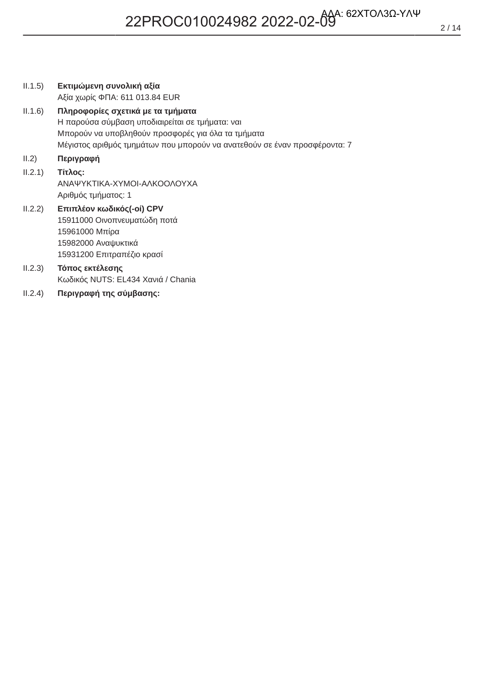| II.1.5) | Εκτιμώμενη συνολική αξία                                                                                                                                                                                                |
|---------|-------------------------------------------------------------------------------------------------------------------------------------------------------------------------------------------------------------------------|
|         | Αξία χωρίς ΦΠΑ: 611 013.84 EUR                                                                                                                                                                                          |
| II.1.6) | Πληροφορίες σχετικά με τα τμήματα<br>Η παρούσα σύμβαση υποδιαιρείται σε τμήματα: ναι<br>Μπορούν να υποβληθούν προσφορές για όλα τα τμήματα<br>Μέγιστος αριθμός τμημάτων που μπορούν να ανατεθούν σε έναν προσφέροντα: 7 |
| II.2)   | Περιγραφή                                                                                                                                                                                                               |
| II.2.1) | Τίτλος:<br>ΑΝΑΨΥΚΤΙΚΑ-ΧΥΜΟΙ-ΑΛΚΟΟΛΟΥΧΑ<br>Αριθμός τμήματος: 1                                                                                                                                                           |
| II.2.2) | Επιπλέον κωδικός(-οί) CPV<br>15911000 Οινοπνευματώδη ποτά<br>15961000 Μπίρα<br>15982000 Αναψυκτικά<br>15931200 Επιτραπέζιο κρασί                                                                                        |
| II.2.3) | Τόπος εκτέλεσης<br>Κωδικός NUTS: EL434 Χανιά / Chania                                                                                                                                                                   |
| II.2.4) | Περιγραφή της σύμβασης:                                                                                                                                                                                                 |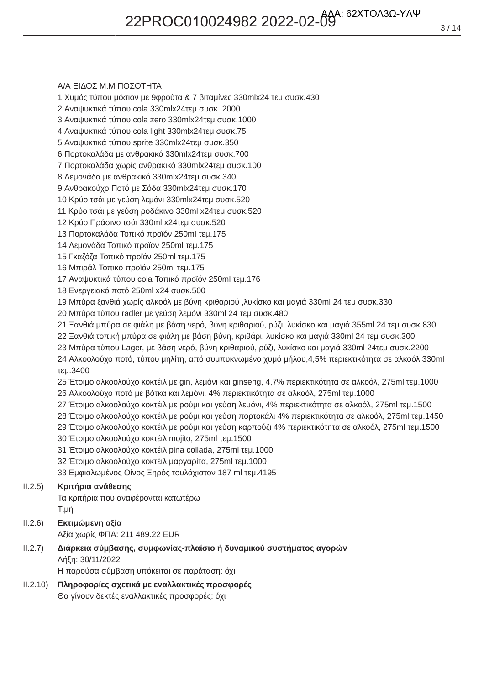### **Α/Α ΕΙΔΟΣ Μ.Μ ΠΟΣΟΤΗΤΑ**

1 Χυμός τύπου μόσιον με 9φρούτα & 7 βιταμίνες 330mlx24 τεμ συσκ.430

2 Αναψυκτικά τύπου cola 330mlx24τεμ συσκ. 2000

3 Αναψυκτικά τύπου cola zero 330mlx24τεμ συσκ.1000

4 Αναψυκτικά τύπου cola light 330mlx24τεμ συσκ.75

5 Αναψυκτικά τύπου sprite 330mlx24τεμ συσκ.350

6 Πορτοκαλάδα με ανθρακικό 330mlx24τεμ συσκ.700

7 Πορτοκαλάδα χωρίς ανθρακικό 330mlx24τεμ συσκ.100

8 Λεμονάδα με ανθρακικό 330mlx24τεμ συσκ.340

9 Ανθρακούχο Ποτό με Σόδα 330mlx24τεμ συσκ.170

10 Κρύο τσάι με γεύση λεμόνι 330mlx24τεμ συσκ.520

11 Κρύο τσάι με γεύση ροδάκινο 330ml x24τεμ συσκ.520

12 Κρύο Πράσινο τσάι 330ml x24τεμ συσκ.520

13 Πορτοκαλάδα Τοπικό προϊόν 250ml τεμ.175

14 Λεμονάδα Τοπικό προϊόν 250ml τεμ.175

15 Γκαζόζα Τοπικό προϊόν 250ml τεμ.175

16 Μπιράλ Τοπικό προϊόν 250ml τεμ.175

17 Αναψυκτικά τύπου cola Τοπικό προϊόν 250ml τεμ.176

18 Ενεργειακό ποτό 250ml x24 συσκ.500

19 Μπύρα ξανθιά χωρίς αλκοόλ με βύνη κριθαριού ,λυκίσκο και μαγιά 330ml 24 τεμ συσκ.330

20 Μπύρα τύπου radler με γεύση λεμόνι 330ml 24 τεμ συσκ. 480

 $21$  Ξανθιά μπύρα σε φιάλη με βάση νερό, βύνη κριθαριού, ρύζι, λυκίσκο και μαγιά 355ml 24 τεμ συσκ.830

 $22$  Ξανθιά τοπική μπύρα σε φιάλη με βάση βύνη, κριθάρι, λυκίσκο και μαγιά 330ml 24 τεμ συσκ.300

23 Μπύρα τύπου Lager, με βάση νερό, βύνη κριθαριού, ρύζι, λυκίσκο και μαγιά 330ml 24τεμ συσκ.2200 24 Αλκοολούχο ποτό, τύπου μηλίτη, από συμπυκνωμένο χυμό μήλου, 4,5% περιεκτικότητα σε αλκοόλ 330ml τεμ.3400

25 Έτοιμο αλκοολούχο κοκτέιλ με gin, λεμόνι και ginseng, 4,7% περιεκτικότητα σε αλκοόλ, 275ml τεμ.1000 26 Αλκοολούχο ποτό με βότκα και λεμόνι, 4% περιεκτικότητα σε αλκοόλ, 275ml τεμ.1000

27 Έτοιμο αλκοολούχο κοκτέιλ με ρούμι και γεύση λεμόνι, 4% περιεκτικότητα σε αλκοόλ, 275ml τεμ.1500

28 Έτοιμο αλκοολούχο κοκτέιλ με ρούμι και γεύση πορτοκάλι 4% περιεκτικότητα σε αλκοόλ, 275ml τεμ.1450

29 Έτοιμο αλκοολούχο κοκτέιλ με ρούμι και γεύση καρπούζι 4% περιεκτικότητα σε αλκοόλ, 275ml τεμ.1500

30 Έτοιμο αλκοολούχο κοκτέιλ mojito, 275ml τεμ.1500

31 Έτοιμο αλκοολούχο κοκτέιλ pina collada, 275ml τεμ.1000

32 Έτοιμο αλκοολούχο κοκτέιλ μαργαρίτα, 275ml τεμ.1000

33 Εμφιαλωμένος Οίνος Ξηρός τουλάχιστον 187 ml τεμ.4195

### ΙΙ.2.5) Κριτήρια ανάθεσης

Τα κριτήρια που αναφέρονται κατωτέρω Τιμή

ΙΙ.2.6) Εκτιμώμενη αξία Αξία χωρίς ΦΠΑ: 211 489.22 EUR

### ΙΙ.2.7) Διάρκεια σύμβασης, συμφωνίας-πλαίσιο ή δυναμικού συστήματος αγορών Λήξη: 30/11/2022

H παρούσα σύμβαση υπόκειται σε παράταση: όχι

 $|1, 2, 10\rangle$ **Πληροφορίες σχετικά με εναλλακτικές προσφορές** Θα γίνουν δεκτές εναλλακτικές προσφορές: όχι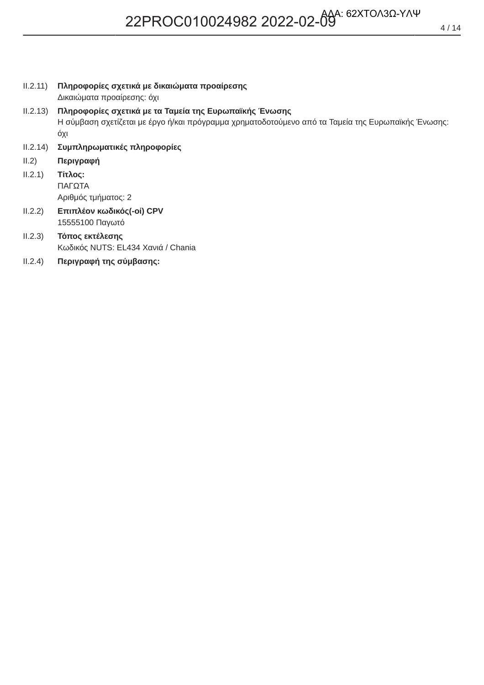II.2.11) Πληροφορίες σχετικά με δικαιώματα προαίρεσης

Δικαιώματα προαίρεσης: όχι

 $II.2.13)$ Πληροφορίες σχετικά με τα Ταμεία της Ευρωπαϊκής Ένωσης Η σύμβαση σχετίζεται με έργο ή/και πρόγραμμα χρηματοδοτούμενο από τα Ταμεία της Ευρωπαϊκής Ένωσης: όχι

- II.2.14) Συμπληρωματικές πληροφορίες
- $II.2)$ Περιγραφή
- $II.2.1)$ Τίτλος: ΠΑΓΩΤΑ Αριθμός τμήματος: 2
- Επιπλέον κωδικός(-οί) CPV  $II.2.2)$ 15555100 Παγωτό
- $II.2.3)$ Τόπος εκτέλεσης Κωδικός NUTS: EL434 Χανιά / Chania
- $II.2.4)$ Περιγραφή της σύμβασης: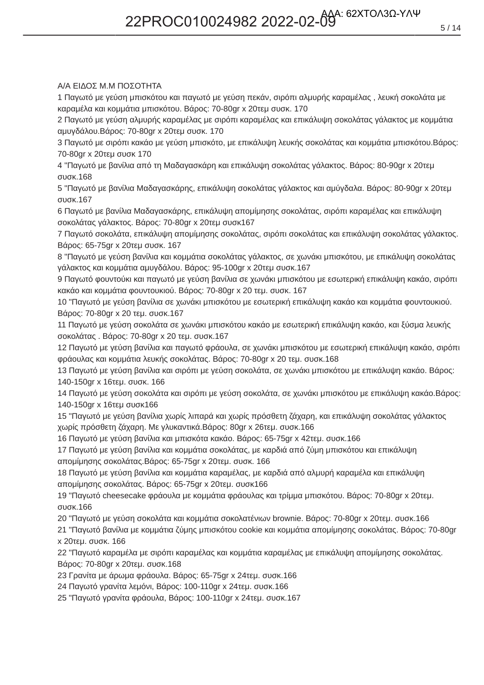### **Α/Α ΕΙΔΟΣ Μ.Μ ΠΟΣΟΤΗΤΑ**

1 Παγωτό με γεύση μπισκότου και παγωτό με γεύση πεκάν, σιρόπι αλμυρής καραμέλας, λευκή σοκολάτα με καραμέλα και κομμάτια μπισκότου. Βάρος: 70-80gr x 20τεμ συσκ. 170

2 Παγωτό με γεύση αλμυρής καραμέλας με σιρόπι καραμέλας και επικάλυψη σοκολάτας γάλακτος με κομμάτια αμυγδάλου.Βάρος: 70-80gr x 20τεμ συσκ. 170

3 Παγωτό με σιρόπι κακάο με γεύση μπισκότο, με επικάλυψη λευκής σοκολάτας και κομμάτια μπισκότου.Βάρος: 70-80gr x 20τεμ συσκ 170

4 "Παγωτό με βανίλια από τη Μαδαγασκάρη και επικάλυψη σοκολάτας γάλακτος. Βάρος: 80-90gr x 20τεμ συσκ.168

5 "Παγωτό με βανίλια Μαδαγασκάρης, επικάλυψη σοκολάτας γάλακτος και αμύγδαλα. Βάρος: 80-90gr x 20τεμ συσκ.167

6 Παγωτό με βανίλια Μαδαγασκάρης, επικάλυψη απομίμησης σοκολάτας, σιρόπι καραμέλας και επικάλυψη σοκολάτας γάλακτος. Βάρος: 70-80gr x 20τεμ συσκ167

7 Παγωτό σοκολάτα, επικάλυψη απομίμησης σοκολάτας, σιρόπι σοκολάτας και επικάλυψη σοκολάτας γάλακτος. Βάρος: 65-75gr x 20τεμ συσκ. 167

8 "Παγωτό με γεύση βανίλια και κομμάτια σοκολάτας γάλακτος, σε χωνάκι μπισκότου, με επικάλυψη σοκολάτας γάλακτος και κομμάτια αμυγδάλου. Βάρος: 95-100gr x 20τεμ συσκ.167

9 Παγωτό φουντούκι και παγωτό με γεύση βανίλια σε χωνάκι μπισκότου με εσωτερική επικάλυψη κακάο, σιρόπι κακάο και κομμάτια φουντουκιού. Βάρος: 70-80gr x 20 τεμ. συσκ. 167

10 "Παγωτό με γεύση βανίλια σε χωνάκι μπισκότου με εσωτερική επικάλυψη κακάο και κομμάτια φουντουκιού. Βάρος: 70-80gr x 20 τεμ. συσκ.167

11 Παγωτό με γεύση σοκολάτα σε χωνάκι μπισκότου κακάο με εσωτερική επικάλυψη κακάο, και ξύσμα λευκής σοκολάτας . Βάρος: 70-80gr x 20 τεμ. συσκ.167

12 Παγωτό με γεύση βανίλια και παγωτό φράουλα, σε χωνάκι μπισκότου με εσωτερική επικάλυψη κακάο, σιρόπι φράουλας και κομμάτια λευκής σοκολάτας. Βάρος: 70-80gr x 20 τεμ. συσκ.168

13 Παγωτό με γεύση βανίλια και σιρόπι με γεύση σοκολάτα, σε χωνάκι μπισκότου με επικάλυψη κακάο. Βάρος: 140-150gr x 16τεμ. συσκ. 166

14 Παγωτό με γεύση σοκολάτα και σιρόπι με γεύση σοκολάτα, σε χωνάκι μπισκότου με επικάλυψη κακάο.Βάρος: 140-150gr x 16τεμ συσκ166

15 "Παγωτό με γεύση βανίλια χωρίς λιπαρά και χωρίς πρόσθετη ζάχαρη, και επικάλυψη σοκολάτας γάλακτος χωρίς πρόσθετη ζάχαρη. Με γλυκαντικά Βάρος: 80gr x 26τεμ. συσκ.166

16 Παγωτό με γεύση βανίλια και μπισκότα κακάο. Βάρος: 65-75gr x 42τεμ. συσκ.166

17 Παγωτό με γεύση βανίλια και κομμάτια σοκολάτας, με καρδιά από ζύμη μπισκότου και επικάλυψη απομίμησης σοκολάτας.Βάρος: 65-75gr x 20τεμ. συσκ. 166

18 Παγωτό με γεύση βανίλια και κομμάτια καραμέλας, με καρδιά από αλμυρή καραμέλα και επικάλυψη απομίμησης σοκολάτας. Βάρος: 65-75gr x 20τεμ. συσκ166

19 "Παγωτό cheesecake φράουλα με κομμάτια φράουλας και τρίμμα μπισκότου. Βάρος: 70-80gr x 20τεμ. συσκ.166

20 "Παγωτό με γεύση σοκολάτα και κομμάτια σοκολατένιων brownie. Βάρος: 70-80gr x 20τεμ. συσκ.166

21 "Παγωτό βανίλια με κομμάτια ζύμης μπισκότου cookie και κομμάτια απομίμησης σοκολάτας. Βάρος: 70-80gr x 20τεμ. συσκ. 166

22 "Παγωτό καραμέλα με σιρόπι καραμέλας και κομμάτια καραμέλας με επικάλυψη απομίμησης σοκολάτας. Βάρος: 70-80gr x 20τεμ. συσκ.168

23 Γρανίτα με άρωμα φράουλα. Βάρος: 65-75gr x 24τεμ. συσκ.166

24 Παγωτό γρανίτα λεμόνι, Βάρος: 100-110gr x 24τεμ. συσκ.166

25 "Παγωτό γρανίτα φράουλα, Βάρος: 100-110gr x 24τεμ. συσκ.167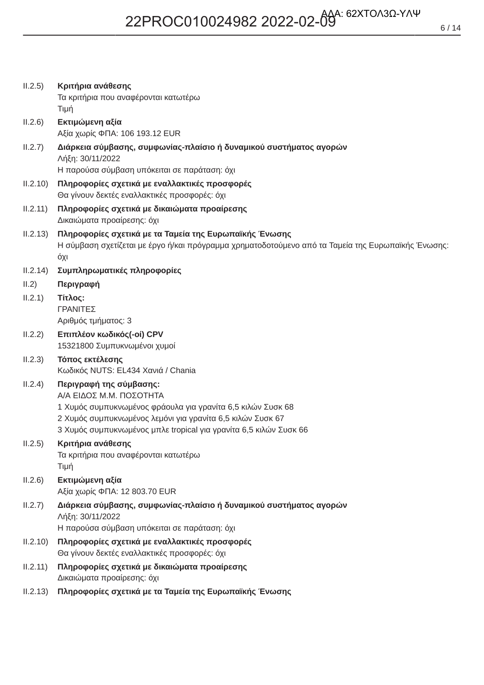| II.2.5)  | Κριτήρια ανάθεσης<br>Τα κριτήρια που αναφέρονται κατωτέρω<br>Τιμή                                                                                                                                                                                    |
|----------|------------------------------------------------------------------------------------------------------------------------------------------------------------------------------------------------------------------------------------------------------|
| II.2.6)  | Εκτιμώμενη αξία<br>Αξία χωρίς ΦΠΑ: 106 193.12 EUR                                                                                                                                                                                                    |
| II.2.7)  | Διάρκεια σύμβασης, συμφωνίας-πλαίσιο ή δυναμικού συστήματος αγορών<br>Λήξη: 30/11/2022<br>Η παρούσα σύμβαση υπόκειται σε παράταση: όχι                                                                                                               |
| II.2.10) | Πληροφορίες σχετικά με εναλλακτικές προσφορές<br>Θα γίνουν δεκτές εναλλακτικές προσφορές: όχι                                                                                                                                                        |
| II.2.11) | Πληροφορίες σχετικά με δικαιώματα προαίρεσης<br>Δικαιώματα προαίρεσης: όχι                                                                                                                                                                           |
| II.2.13) | Πληροφορίες σχετικά με τα Ταμεία της Ευρωπαϊκής Ένωσης<br>Η σύμβαση σχετίζεται με έργο ή/και πρόγραμμα χρηματοδοτούμενο από τα Ταμεία της Ευρωπαϊκής Ένωσης:<br>όχι                                                                                  |
| II.2.14) | Συμπληρωματικές πληροφορίες                                                                                                                                                                                                                          |
| II.2)    | Περιγραφή                                                                                                                                                                                                                                            |
| II.2.1)  | Τίτλος:<br>ΓΡΑΝΙΤΕΣ<br>Αριθμός τμήματος: 3                                                                                                                                                                                                           |
| II.2.2)  | Επιπλέον κωδικός(-οί) CPV<br>15321800 Συμπυκνωμένοι χυμοί                                                                                                                                                                                            |
| II.2.3)  | Τόπος εκτέλεσης<br>Κωδικός NUTS: EL434 Χανιά / Chania                                                                                                                                                                                                |
| II.2.4)  | Περιγραφή της σύμβασης:<br>Α/Α ΕΙΔΟΣ Μ.Μ. ΠΟΣΟΤΗΤΑ<br>1 Χυμός συμπυκνωμένος φράουλα για γρανίτα 6,5 κιλών Συσκ 68<br>2 Χυμός συμπυκνωμένος λεμόνι για γρανίτα 6,5 κιλών Συσκ 67<br>3 Χυμός συμπυκνωμένος μπλε tropical για γρανίτα 6,5 κιλών Συσκ 66 |
| II.2.5)  | Κριτήρια ανάθεσης<br>Τα κριτήρια που αναφέρονται κατωτέρω<br>Τιμή                                                                                                                                                                                    |
| II.2.6)  | Εκτιμώμενη αξία<br>Αξία χωρίς ΦΠΑ: 12 803.70 EUR                                                                                                                                                                                                     |
| II.2.7)  | Διάρκεια σύμβασης, συμφωνίας-πλαίσιο ή δυναμικού συστήματος αγορών<br>Λήξη: 30/11/2022<br>Η παρούσα σύμβαση υπόκειται σε παράταση: όχι                                                                                                               |
| II.2.10) | Πληροφορίες σχετικά με εναλλακτικές προσφορές<br>Θα γίνουν δεκτές εναλλακτικές προσφορές: όχι                                                                                                                                                        |
| II.2.11) | Πληροφορίες σχετικά με δικαιώματα προαίρεσης<br>Δικαιώματα προαίρεσης: όχι                                                                                                                                                                           |
| II.2.13) | Πληροφορίες σχετικά με τα Ταμεία της Ευρωπαϊκής Ένωσης                                                                                                                                                                                               |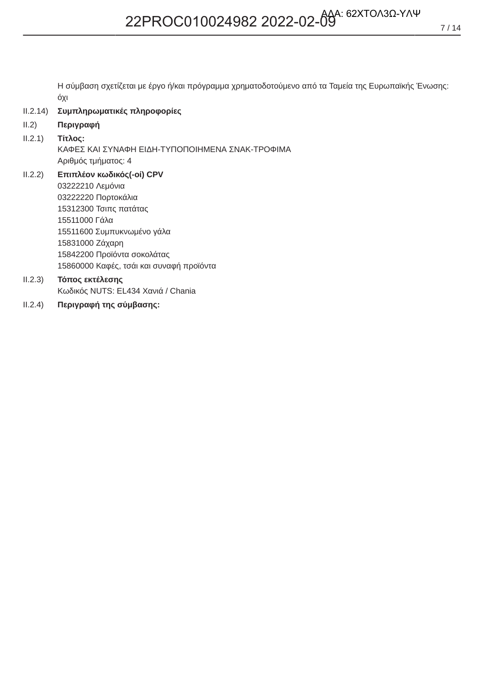Η σύμβαση σχετίζεται με έργο ή/και πρόγραμμα χρηματοδοτούμενο από τα Ταμεία της Ευρωπαϊκής Ένωσης: όχι

- $II.2.14)$ Συμπληρωματικές πληροφορίες
- $II.2)$ Περιγραφή

#### $II.2.1)$ Τίτλος:

- ΚΑΦΕΣ ΚΑΙ ΣΥΝΑΦΗ ΕΙΔΗ-ΤΥΠΟΠΟΙΗΜΕΝΑ ΣΝΑΚ-ΤΡΟΦΙΜΑ Αριθμός τμήματος: 4
- $II.2.2)$ Επιπλέον κωδικός(-οί) CPV 03222210 Λεμόνια 03222220 Πορτοκάλια 15312300 Τσιπς πατάτας 15511000 Γάλα 15511600 Συμπυκνωμένο γάλα 15831000 Ζάχαρη 15842200 Προϊόντα σοκολάτας 15860000 Καφές, τσάι και συναφή προϊόντα
- $II.2.3)$ Τόπος εκτέλεσης Κωδικός NUTS: EL434 Χανιά / Chania
- $II.2.4)$ Περιγραφή της σύμβασης: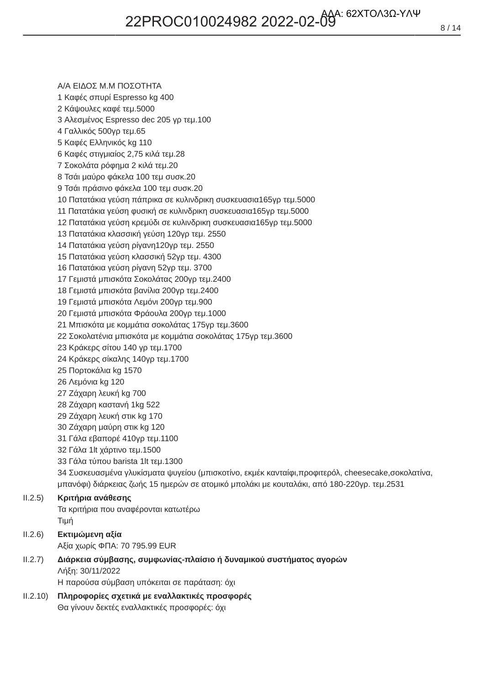**Α/Α ΕΙΔΟΣ Μ.Μ ΠΟΣΟΤΗΤΑ** 1 Καφές σπυρί Espresso kg 400 2 Κάψουλες καφέ τεμ.5000 3 Αλεσμένος Espresso dec 205 γρ τεμ.100 4 Γαλλικός 500γρ τεμ.65 5 Καφές Ελληνικός kg 110 6 Καφές στιγμιαίος 2,75 κιλά τεμ.28 7 Σοκολάτα ρόφημα 2 κιλά τεμ.20 8 Τσάι μαύρο φάκελα 100 τεμ συσκ. 20 9 Τσάι πράσινο φάκελα 100 τεμ συσκ. 20 10 Πατατάκια γεύση πάπρικα σε κυλινδρικη συσκευασια165γρ τεμ.5000 11 Πατατάκια γεύση φυσική σε κυλινδρικη συσκευασια165γρ τεμ.5000 12 Πατατάκια γεύση κρεμύδι σε κυλινδρικη συσκευασια165γρ τεμ.5000 13 Πατατάκια κλασσική γεύση 120γρ τεμ. 2550 14 Πατατάκια γεύση ρίγανη 120γρ τεμ. 2550 15 Πατατάκια γεύση κλασσική 52γρ τεμ. 4300 16 Πατατάκια γεύση ρίγανη 52γρ τεμ. 3700 17 Γεμιστά μπισκότα Σοκολάτας 200γρ τεμ. 2400 18 Γεμιστά μπισκότα βανίλια 200γρ τεμ.2400 19 Γεμιστά μπισκότα Λεμόνι 200γρ τεμ.900 20 Γεμιστά μπισκότα Φράουλα 200γρ τεμ.1000 21 Μπισκότα με κομμάτια σοκολάτας 175γρ τεμ.3600 22 Σοκολατένια μπισκότα με κομμάτια σοκολάτας 175γρ τεμ.3600 23 Κράκερς σίτου 140 γρ τεμ.1700 24 Κράκερς σίκαλης 140γρ τεμ.1700 25 Πορτοκάλια kg 1570 26 Λεμόνια kg 120 27 Ζάχαρη λευκή kg 700 28 Ζάχαρη καστανή 1kg 522 29 Ζάχαρη λευκή στικ kg 170 30 Ζάχαρη μαύρη στικ kg 120 31 Γάλα εβαπορέ 410γρ τεμ.1100 32 Γάλα 1lt χάρτινο τεμ.1500 33 Γάλα τύπου barista 1lt τεμ.1300 34 Συσκευασμένα γλυκίσματα ψυγείου (μπισκοτίνο, εκμέκ κανταίφι, προφιτερόλ, cheesecake, σοκολατίνα, μπανόφι) διάρκειας ζωής 15 ημερών σε ατομικό μπολάκι με κουταλάκι, από 180-220γρ. τεμ.2531 ΙΙ.2.5) Κριτήρια ανάθεσης Τα κριτήρια που αναφέρονται κατωτέρω Tiµή

- ΙΙ.2.6) Εκτιμώμενη αξία Αξία χωρίς ΦΠΑ: 70 795.99 EUR
- ΙΙ.2.7) Διάρκεια σύμβασης, συμφωνίας-πλαίσιο ή δυναμικού συστήματος αγορών Λήξη: 30/11/2022 H παρούσα σύμβαση υπόκειται σε παράταση: όχι
- $|1, 2, 10\rangle$ Πληροφορίες σχετικά με εναλλακτικές προσφορές Θα γίνουν δεκτές εναλλακτικές προσφορές: όχι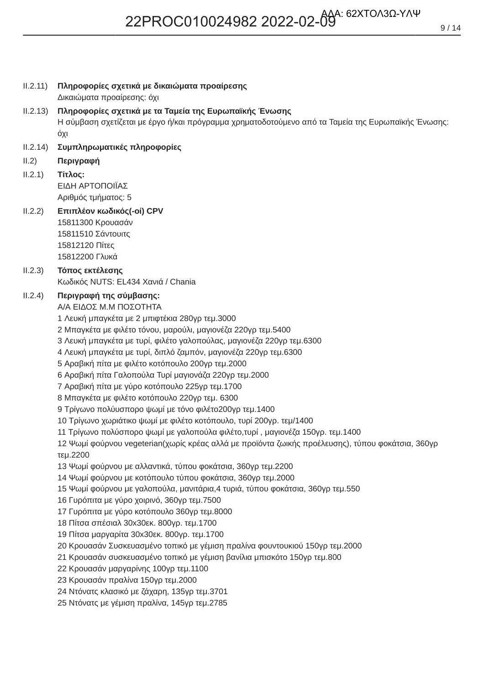| II.2.11) | Πληροφορίες σχετικά με δικαιώματα προαίρεσης<br>Δικαιώματα προαίρεσης: όχι                                                                                                                                                                                                                                                                                                                                                                                                                                                                                                                                                                                                                                                                                                                                                                                                                                                                                                                                                                                                                                                                                                                                                                                                                                                                                                                                                                                                                                                                                                                                                        |
|----------|-----------------------------------------------------------------------------------------------------------------------------------------------------------------------------------------------------------------------------------------------------------------------------------------------------------------------------------------------------------------------------------------------------------------------------------------------------------------------------------------------------------------------------------------------------------------------------------------------------------------------------------------------------------------------------------------------------------------------------------------------------------------------------------------------------------------------------------------------------------------------------------------------------------------------------------------------------------------------------------------------------------------------------------------------------------------------------------------------------------------------------------------------------------------------------------------------------------------------------------------------------------------------------------------------------------------------------------------------------------------------------------------------------------------------------------------------------------------------------------------------------------------------------------------------------------------------------------------------------------------------------------|
| II.2.13) | Πληροφορίες σχετικά με τα Ταμεία της Ευρωπαϊκής Ένωσης<br>Η σύμβαση σχετίζεται με έργο ή/και πρόγραμμα χρηματοδοτούμενο από τα Ταμεία της Ευρωπαϊκής Ένωσης:<br>όχι                                                                                                                                                                                                                                                                                                                                                                                                                                                                                                                                                                                                                                                                                                                                                                                                                                                                                                                                                                                                                                                                                                                                                                                                                                                                                                                                                                                                                                                               |
| II.2.14) | Συμπληρωματικές πληροφορίες                                                                                                                                                                                                                                                                                                                                                                                                                                                                                                                                                                                                                                                                                                                                                                                                                                                                                                                                                                                                                                                                                                                                                                                                                                                                                                                                                                                                                                                                                                                                                                                                       |
| II.2)    | Περιγραφή                                                                                                                                                                                                                                                                                                                                                                                                                                                                                                                                                                                                                                                                                                                                                                                                                                                                                                                                                                                                                                                                                                                                                                                                                                                                                                                                                                                                                                                                                                                                                                                                                         |
| II.2.1)  | Τίτλος:<br>ΕΙΔΗ ΑΡΤΟΠΟΙΪΑΣ<br>Αριθμός τμήματος: 5                                                                                                                                                                                                                                                                                                                                                                                                                                                                                                                                                                                                                                                                                                                                                                                                                                                                                                                                                                                                                                                                                                                                                                                                                                                                                                                                                                                                                                                                                                                                                                                 |
| II.2.2)  | Επιπλέον κωδικός(-οί) CPV<br>15811300 Κρουασάν<br>15811510 Σάντουιτς<br>15812120 Πίτες<br>15812200 Γλυκά                                                                                                                                                                                                                                                                                                                                                                                                                                                                                                                                                                                                                                                                                                                                                                                                                                                                                                                                                                                                                                                                                                                                                                                                                                                                                                                                                                                                                                                                                                                          |
| II.2.3)  | Τόπος εκτέλεσης<br>Κωδικός NUTS: EL434 Χανιά / Chania                                                                                                                                                                                                                                                                                                                                                                                                                                                                                                                                                                                                                                                                                                                                                                                                                                                                                                                                                                                                                                                                                                                                                                                                                                                                                                                                                                                                                                                                                                                                                                             |
| II.2.4)  | Περιγραφή της σύμβασης:<br>ΑΙΑ ΕΙΔΟΣ Μ.Μ ΠΟΣΟΤΗΤΑ<br>1 Λευκή μπαγκέτα με 2 μπιφτέκια 280γρ τεμ.3000<br>2 Μπαγκέτα με φιλέτο τόνου, μαρούλι, μαγιονέζα 220γρ τεμ.5400<br>3 Λευκή μπαγκέτα με τυρί, φιλέτο γαλοπούλας, μαγιονέζα 220γρ τεμ.6300<br>4 Λευκή μπαγκέτα με τυρί, διπλό ζαμπόν, μαγιονέζα 220γρ τεμ.6300<br>5 Αραβική πίτα με φιλέτο κοτόπουλο 200γρ τεμ.2000<br>6 Αραβική πίτα Γαλοπούλα Τυρί μαγιονάζα 220γρ τεμ.2000<br>7 Αραβική πίτα με γύρο κοτόπουλο 225γρ τεμ.1700<br>8 Μπαγκέτα με φιλέτο κοτόπουλο 220γρ τεμ. 6300<br>9 Τρίγωνο πολύυσπορο ψωμί με τόνο φιλέτο 200γρ τεμ.1400<br>10 Τρίγωνο χωριάτικο ψωμί με φιλέτο κοτόπουλο, τυρί 200γρ. τεμ/1400<br>11 Τρίγωνο πολύσπορο ψωμί με γαλοπούλα φιλέτο,τυρί, μαγιονέζα 150γρ. τεμ.1400<br>12 Ψωμί φούρνου vegeterian(χωρίς κρέας αλλά με προϊόντα ζωικής προέλευσης), τύπου φοκάτσια, 360γρ<br>τεμ.2200<br>13 Ψωμί φούρνου με αλλαντικά, τύπου φοκάτσια, 360γρ τεμ.2200<br>14 Ψωμί φούρνου με κοτόπουλο τύπου φοκάτσια, 360γρ τεμ.2000<br>15 Ψωμί φούρνου με γαλοπούλα, μανιτάρια, 4 τυριά, τύπου φοκάτσια, 360γρ τεμ.550<br>16 Γυρόπιτα με γύρο χοιρινό, 360γρ τεμ.7500<br>17 Γυρόπιτα με γύρο κοτόπουλο 360γρ τεμ.8000<br>18 Πίτσα σπέσιαλ 30x30εκ. 800γρ. τεμ.1700<br>19 Πίτσα μαργαρίτα 30x30εκ. 800γρ. τεμ.1700<br>20 Κρουασάν Συσκευασμένο τοπικό με γέμιση πραλίνα φουντουκιού 150γρ τεμ.2000<br>21 Κρουασάν συσκευασμένο τοπικό με γέμιση βανίλια μπισκότο 150γρ τεμ.800<br>22 Κρουασάν μαργαρίνης 100γρ τεμ.1100<br>23 Κρουασάν πραλίνα 150γρ τεμ.2000<br>24 Ντόνατς κλασικό με ζάχαρη, 135γρ τεμ.3701<br>25 Ντόνατς με γέμιση πραλίνα, 145γρ τεμ.2785 |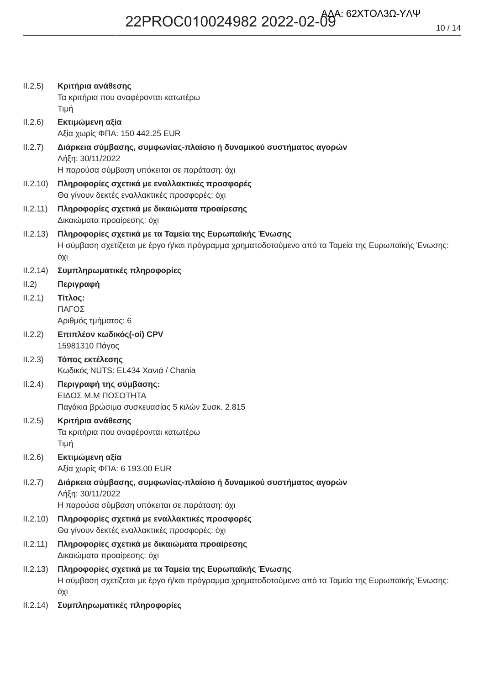| II.2.5)  | Κριτήρια ανάθεσης<br>Τα κριτήρια που αναφέρονται κατωτέρω<br>Τιμή                                                                                                   |
|----------|---------------------------------------------------------------------------------------------------------------------------------------------------------------------|
| II.2.6)  | Εκτιμώμενη αξία<br>Αξία χωρίς ΦΠΑ: 150 442.25 EUR                                                                                                                   |
| II.2.7)  | Διάρκεια σύμβασης, συμφωνίας-πλαίσιο ή δυναμικού συστήματος αγορών<br>Λήξη: 30/11/2022<br>Η παρούσα σύμβαση υπόκειται σε παράταση: όχι                              |
| II.2.10) | Πληροφορίες σχετικά με εναλλακτικές προσφορές<br>Θα γίνουν δεκτές εναλλακτικές προσφορές: όχι                                                                       |
| II.2.11) | Πληροφορίες σχετικά με δικαιώματα προαίρεσης<br>Δικαιώματα προαίρεσης: όχι                                                                                          |
| II.2.13) | Πληροφορίες σχετικά με τα Ταμεία της Ευρωπαϊκής Ένωσης<br>Η σύμβαση σχετίζεται με έργο ή/και πρόγραμμα χρηματοδοτούμενο από τα Ταμεία της Ευρωπαϊκής Ένωσης:<br>όχι |
| II.2.14) | Συμπληρωματικές πληροφορίες                                                                                                                                         |
| II.2)    | Περιγραφή                                                                                                                                                           |
| II.2.1)  | Τίτλος:<br>ΠΑΓΟΣ<br>Αριθμός τμήματος: 6                                                                                                                             |
| II.2.2)  | Επιπλέον κωδικός(-οί) CPV                                                                                                                                           |
|          | 15981310 Πάγος                                                                                                                                                      |
| II.2.3)  | Τόπος εκτέλεσης<br>Κωδικός NUTS: EL434 Χανιά / Chania                                                                                                               |
| II.2.4)  | Περιγραφή της σύμβασης:<br>ΕΙΔΟΣ Μ.Μ ΠΟΣΟΤΗΤΑ<br>Παγάκια βρώσιμα συσκευασίας 5 κιλών Συσκ. 2.815                                                                    |
| II.2.5)  | Κριτήρια ανάθεσης<br>Τα κριτήρια που αναφέρονται κατωτέρω<br>Τιμή                                                                                                   |
| II.2.6)  | Εκτιμώμενη αξία<br>Αξία χωρίς ΦΠΑ: 6 193.00 EUR                                                                                                                     |
| II.2.7)  | Διάρκεια σύμβασης, συμφωνίας-πλαίσιο ή δυναμικού συστήματος αγορών<br>Λήξη: 30/11/2022<br>Η παρούσα σύμβαση υπόκειται σε παράταση: όχι                              |
| II.2.10) | Πληροφορίες σχετικά με εναλλακτικές προσφορές<br>Θα γίνουν δεκτές εναλλακτικές προσφορές: όχι                                                                       |
| II.2.11) | Πληροφορίες σχετικά με δικαιώματα προαίρεσης<br>Δικαιώματα προαίρεσης: όχι                                                                                          |
| II.2.13) | Πληροφορίες σχετικά με τα Ταμεία της Ευρωπαϊκής Ένωσης<br>Η σύμβαση σχετίζεται με έργο ή/και πρόγραμμα χρηματοδοτούμενο από τα Ταμεία της Ευρωπαϊκής Ένωσης:<br>όχι |
| II.2.14) | Συμπληρωματικές πληροφορίες                                                                                                                                         |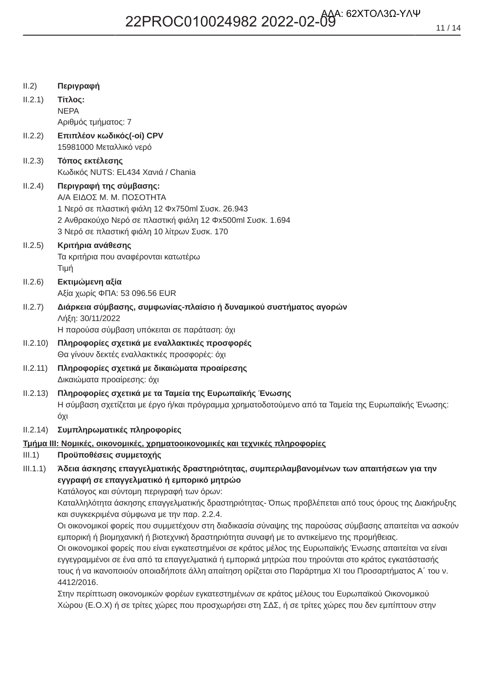$11/14$ 

| II.2)    | Περιγραφή                                                                                                |
|----------|----------------------------------------------------------------------------------------------------------|
| II.2.1)  | Τίτλος:                                                                                                  |
|          | <b>NEPA</b>                                                                                              |
|          | Αριθμός τμήματος: 7                                                                                      |
| II.2.2)  | Επιπλέον κωδικός(-οί) CPV                                                                                |
|          | 15981000 Μεταλλικό νερό                                                                                  |
| II.2.3)  | Τόπος εκτέλεσης                                                                                          |
|          | Κωδικός NUTS: EL434 Χανιά / Chania                                                                       |
| II.2.4)  | Περιγραφή της σύμβασης:                                                                                  |
|          | Α/Α ΕΙΔΟΣ Μ. Μ. ΠΟΣΟΤΗΤΑ<br>1 Νερό σε πλαστική φιάλη 12 Φx750ml Συσκ. 26.943                             |
|          | 2 Ανθρακούχο Νερό σε πλαστική φιάλη 12 Φx500ml Συσκ. 1.694                                               |
|          | 3 Νερό σε πλαστική φιάλη 10 λίτρων Συσκ. 170                                                             |
| II.2.5)  | Κριτήρια ανάθεσης                                                                                        |
|          | Τα κριτήρια που αναφέρονται κατωτέρω                                                                     |
|          | Τιμή                                                                                                     |
| II.2.6)  | Εκτιμώμενη αξία                                                                                          |
|          | Αξία χωρίς ΦΠΑ: 53 096.56 EUR                                                                            |
| II.2.7)  | Διάρκεια σύμβασης, συμφωνίας-πλαίσιο ή δυναμικού συστήματος αγορών                                       |
|          | Λήξη: 30/11/2022                                                                                         |
|          | Η παρούσα σύμβαση υπόκειται σε παράταση: όχι                                                             |
| II.2.10) | Πληροφορίες σχετικά με εναλλακτικές προσφορές                                                            |
|          | Θα γίνουν δεκτές εναλλακτικές προσφορές: όχι                                                             |
| II.2.11) | Πληροφορίες σχετικά με δικαιώματα προαίρεσης                                                             |
|          | Δικαιώματα προαίρεσης: όχι                                                                               |
| II.2.13) | Πληροφορίες σχετικά με τα Ταμεία της Ευρωπαϊκής Ένωσης                                                   |
|          | Η σύμβαση σχετίζεται με έργο ή/και πρόγραμμα χρηματοδοτούμενο από τα Ταμεία της Ευρωπαϊκής Ένωσης:       |
|          | όχι                                                                                                      |
| II.2.14) | Συμπληρωματικές πληροφορίες                                                                              |
|          | <u>Τμήμα ΙΙΙ: Νομικές, οικονομικές, χρηματοοικονομικές και τεχνικές πληροφορίες</u>                      |
| III.1)   | Προϋποθέσεις συμμετοχής                                                                                  |
| III.1.1) | Άδεια άσκησης επαγγελματικής δραστηριότητας, συμπεριλαμβανομένων των απαιτήσεων για την                  |
|          | εγγραφή σε επαγγελματικό ή εμπορικό μητρώο<br>Κατάλογος και σύντομη περιγραφή των όρων:                  |
|          | Καταλληλότητα άσκησης επαγγελματικής δραστηριότητας- Όπως προβλέπεται από τους όρους της Διακήρυξης      |
|          | και συγκεκριμένα σύμφωνα με την παρ. 2.2.4.                                                              |
|          | Οι οικονομικοί φορείς που συμμετέχουν στη διαδικασία σύναψης της παρούσας σύμβασης απαιτείται να ασκούν  |
|          | εμπορική ή βιομηχανική ή βιοτεχνική δραστηριότητα συναφή με το αντικείμενο της προμήθειας.               |
|          | Οι οικονομικοί φορείς που είναι εγκατεστημένοι σε κράτος μέλος της Ευρωπαϊκής Ένωσης απαιτείται να είναι |
|          | εν κενοσμμένοι σε ένα από τα επανακλματικά ή εμπροικά μητρώα που τηρούνται στο κράτος ενκατάστασής       |

εγγεγραμμενοι σε ενα απο τα επαγγελματικα η εμπορικα μητρωα που τηρουνται στο κρατος εγκαταστασης τους ή να ικανοποιούν οποιαδήποτε άλλη απαίτηση ορίζεται στο Παράρτημα XI του Προσαρτήματος Α΄ του ν. 4412/2016.

Στην περίπτωση οικονομικών φορέων εγκατεστημένων σε κράτος μέλους του Ευρωπαϊκού Οικονομικού Χώρου (Ε.Ο.Χ) ή σε τρίτες χώρες που προσχωρήσει στη ΣΔΣ, ή σε τρίτες χώρες που δεν εμπίπτουν στην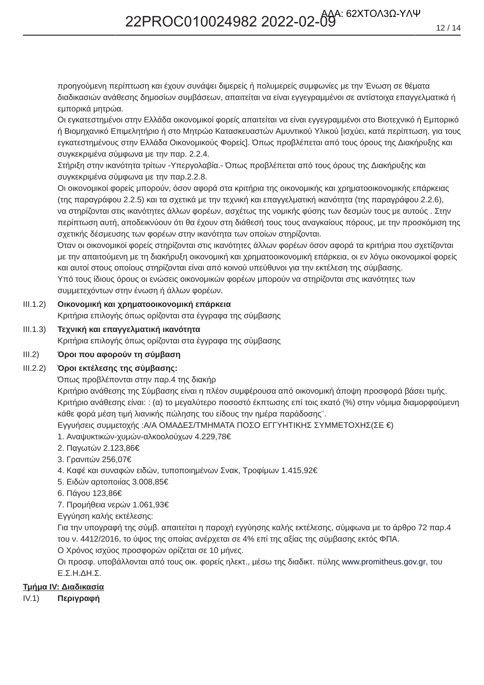προηγούμενη περίπτωση και έχουν συνάψει διμερείς ή πολυμερείς συμφωνίες με την Ένωση σε θέματα διαδικασιών ανάθεσης δημοσίων συμβάσεων, απαιτείται να είναι εγγεγραμμένοι σε αντίστοιχα επαγγελματικά ή εμπορικά μητρώα.

Οι εγκατεστημένοι στην Ελλάδα οικονομικοί φορείς απαιτείται να είναι εγγεγραμμένοι στο Βιοτεχνικό ή Εμπορικό ή Βιομηχανικό Επιμελητήριο ή στο Μητρώο Κατασκευαστών Αμυντικού Υλικού [ισχύει, κατά περίπτωση, για τους εγκατεστημένους στην Ελλάδα Οικονομικούς Φορείς]. Όπως προβλέπεται από τους όρους της Διακήρυξης και συγκεκριμένα σύμφωνα με την παρ. 2.2.4.

Στήριξη στην ικανότητα τρίτων -Υπεργολαβία.- Όπως προβλέπεται από τους όρους της Διακήρυξης και συγκεκριμένα σύμφωνα με την παρ.2.2.8.

Οι οικονομικοί φορείς μπορούν, όσον αφορά στα κριτήρια της οικονομικής και χρηματοοικονομικής επάρκειας (της παραγράφου 2.2.5) και τα σχετικά με την τεχνική και επαγγελματική ικανότητα (της παραγράφου 2.2.6), να στηρίζονται στις ικανότητες άλλων φορέων, ασχέτως της νομικής φύσης των δεσμών τους με αυτούς. Στην περίπτωση αυτή, αποδεικνύουν ότι θα έχουν στη διάθεσή τους τους αναγκαίους πόρους, με την προσκόμιση της σχετικής δέσμευσης των φορέων στην ικανότητα των οποίων στηρίζονται.

Όταν οι οικονομικοί φορείς στηρίζονται στις ικανότητες άλλων φορέων όσον αφορά τα κριτήρια που σχετίζονται με την απαιτούμενη με τη διακήρυξη οικονομική και χρηματοοικονομική επάρκεια, οι εν λόγω οικονομικοί φορείς και αυτοί στους οποίους στηρίζονται είναι από κοινού υπεύθυνοι για την εκτέλεση της σύμβασης. Υπό τους ίδιους όρους οι ενώσεις οικονομικών φορέων μπορούν να στηρίζονται στις ικανότητες των συμμετεχόντων στην ένωση ή άλλων φορέων.

### ΙΙΙ.1.2) Οικονομική και χρηματοοικονομική επάρκεια

Κριτήρια επιλογής όπως ορίζονται στα έγγραφα της σύμβασης

III.1.3) Τεχνική και επαγγελματική ικανότητα Κριτήρια επιλογής όπως ορίζονται στα έγγραφα της σύμβασης

### III.2) Όροι που αφορούν τη σύμβαση

### **III.2.2)** Όροι εκτέλεσης της σύμβασης:

Όπως προβλέπονται στην παρ.4 της διακήρ

Κριτήριο ανάθεσης της Σύμβασης είναι η πλέον συμφέρουσα από οικονομική άποψη προσφορά βάσει τιμής. Κριτήριο ανάθεσης είναι: : (α) το μεγαλύτερο ποσοστό έκπτωσης επί τοις εκατό (%) στην νόμιμα διαμορφούμενη κάθε φορά μέση τιμή λιανικής πώλησης του είδους την ημέρα παράδοσης".

Εγγυήσεις συμμετοχής : Α/Α ΟΜΑΔΕΣ/ΤΜΗΜΑΤΑ ΠΟΣΟ ΕΓΓΥΗΤΙΚΗΣ ΣΥΜΜΕΤΟΧΗΣ(ΣΕ €)

- 1. Αναψυκτικών-χυμών-αλκοολούχων 4.229,78€
- 2. Παγωτών 2.123,86€
- 3. Γρανιτών 256,07€
- 4. Καφέ και συναφών ειδών, τυποποιημένων Σνακ, Τροφίμων 1.415.92€
- 5. Ειδών αρτοποιίας 3.008,85€
- 6. Πάγου 123,86€

7. Προμήθεια νερών 1.061,93€

Εγγύηση καλής εκτέλεσης:

Για την υπογραφή της σύμβ. απαιτείται η παροχή εγγύησης καλής εκτέλεσης, σύμφωνα με το άρθρο 72 παρ.4 του ν. 4412/2016, το ύψος της οποίας ανέρχεται σε 4% επί της αξίας της σύμβασης εκτός ΦΠΑ. Ο Χρόνος ισχύος προσφορών ορίζεται σε 10 μήνες.

Οι προσφ. υποβάλλονται από τους οικ. φορείς ηλεκτ., μέσω της διαδικτ. πύλης www.promitheus.gov.gr, του  $E$ .  $\Sigma$ . H.  $\Delta$ H.  $\Sigma$ .

### **Τμήμα IV: Διαδικασία**

IV.1) Περιγραφή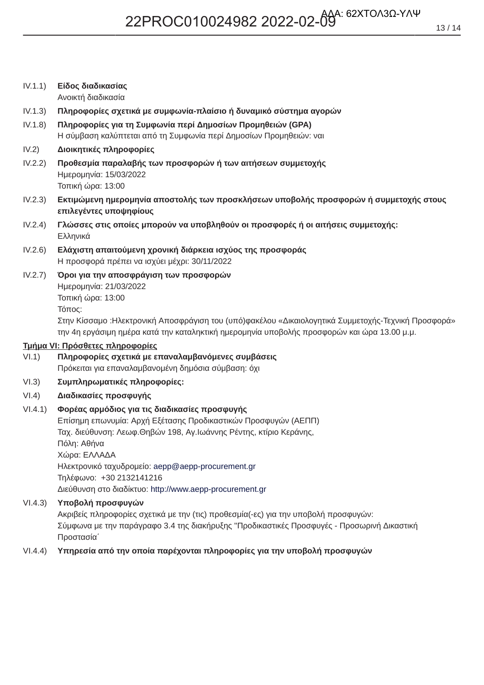Ανοικτή διαδικασία

 $IV.1.3)$ Πληροφορίες σχετικά με συμφωνία-πλαίσιο ή δυναμικό σύστημα αγορών

- $IV.1.8)$ Πληροφορίες για τη Συμφωνία περί Δημοσίων Προμηθειών (GPA) Η σύμβαση καλύπτεται από τη Συμφωνία περί Δημοσίων Προμηθειών: ναι
- $IV.2)$ Διοικητικές πληροφορίες
- Προθεσμία παραλαβής των προσφορών ή των αιτήσεων συμμετοχής  $IV.2.2)$ Ημερομηνία: 15/03/2022 Τοπική ώρα: 13:00
- $IV.2.3)$ Εκτιμώμενη ημερομηνία αποστολής των προσκλήσεων υποβολής προσφορών ή συμμετοχής στους επιλεγέντες υποψηφίους
- $IV.2.4)$ Γλώσσες στις οποίες μπορούν να υποβληθούν οι προσφορές ή οι αιτήσεις συμμετοχής: Ελληνικά
- $IV.2.6$ Ελάχιστη απαιτούμενη χρονική διάρκεια ισχύος της προσφοράς Η προσφορά πρέπει να ισχύει μέχρι: 30/11/2022
- $IV.2.7)$ Όροι για την αποσφράγιση των προσφορών Ημερομηνία: 21/03/2022 Τοπική ώρα: 13:00 Τόπος: Στην Κίσσαμο : Ηλεκτρονική Αποσφράγιση του (υπό)φακέλου «Δικαιολογητικά Συμμετοχής-Τεχνική Προσφορά» την 4η εργάσιμη ημέρα κατά την καταληκτική ημερομηνία υποβολής προσφορών και ώρα 13.00 μ.μ.

### Τμήμα VI: Πρόσθετες πληροφορίες

- Πληροφορίες σχετικά με επαναλαμβανόμενες συμβάσεις  $V1.1)$ Πρόκειται για επαναλαμβανομένη δημόσια σύμβαση: όχι
- $VI.3)$ Συμπληρωματικές πληροφορίες:
- $VI.4)$ Διαδικασίες προσφυγής

#### $VI.4.1)$ Φορέας αρμόδιος για τις διαδικασίες προσφυγής

Επίσημη επωνυμία: Αρχή Εξέτασης Προδικαστικών Προσφυγών (ΑΕΠΠ) Ταχ. διεύθυνση: Λεωφ.Θηβών 198, Αγ.Ιωάννης Ρέντης, κτίριο Κεράνης, Πόλη: Αθήνα Χώρα: ΕΛΛΑΔΑ Ηλεκτρονικό ταχυδρομείο: aepp@aepp-procurement.gr Τηλέφωνο: +30 2132141216 Διεύθυνση στο διαδίκτυο: http://www.aepp-procurement.gr

 $VI.4.3)$ Υποβολή προσφυγών

> Ακριβείς πληροφορίες σχετικά με την (τις) προθεσμία(-ες) για την υποβολή προσφυγών: Σύμφωνα με την παράγραφο 3.4 της διακήρυξης "Προδικαστικές Προσφυγές - Προσωρινή Δικαστική Προστασία΄

#### Υπηρεσία από την οποία παρέχονται πληροφορίες για την υποβολή προσφυγών  $VI.4.4)$